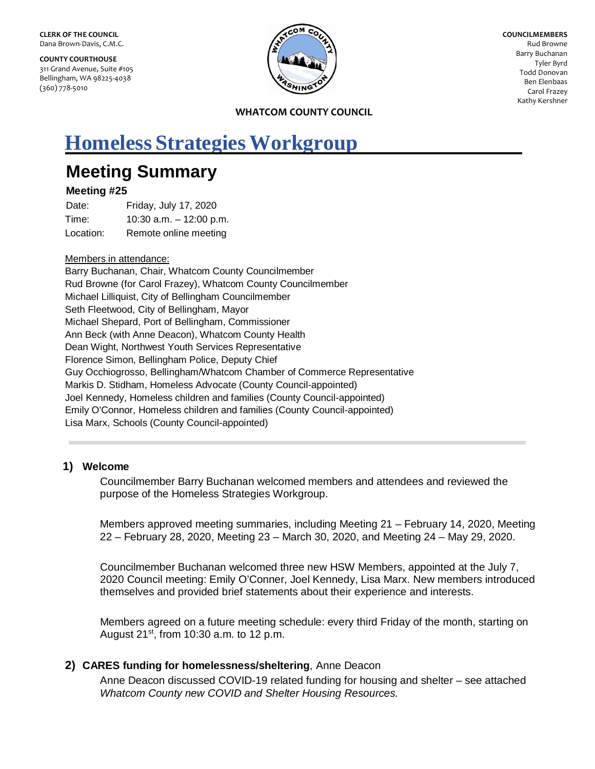**COUNTY COURTHOUSE** 311 Grand Avenue, Suite #105 Bellingham, WA 98225-4038 (360) 778-5010



**COUNCILMEMBERS** Rud Browne Barry Buchanan Tyler Byrd Todd Donovan Ben Elenbaas Carol Frazey Kathy Kershner

**WHATCOM COUNTY COUNCIL**

# **Homeless Strategies Workgroup**

## **Meeting Summary**

## **Meeting #25**

Date: Friday, July 17, 2020 Time: 10:30 a.m. – 12:00 p.m. Location: Remote online meeting

## Members in attendance:

Barry Buchanan, Chair, Whatcom County Councilmember Rud Browne (for Carol Frazey), Whatcom County Councilmember Michael Lilliquist, City of Bellingham Councilmember Seth Fleetwood, City of Bellingham, Mayor Michael Shepard, Port of Bellingham, Commissioner Ann Beck (with Anne Deacon), Whatcom County Health Dean Wight, Northwest Youth Services Representative Florence Simon, Bellingham Police, Deputy Chief Guy Occhiogrosso, Bellingham/Whatcom Chamber of Commerce Representative Markis D. Stidham, Homeless Advocate (County Council-appointed) Joel Kennedy, Homeless children and families (County Council-appointed) Emily O'Connor, Homeless children and families (County Council-appointed) Lisa Marx, Schools (County Council-appointed)

## **1) Welcome**

Councilmember Barry Buchanan welcomed members and attendees and reviewed the purpose of the Homeless Strategies Workgroup.

Members approved meeting summaries, including Meeting 21 – February 14, 2020, Meeting 22 – February 28, 2020, Meeting 23 – March 30, 2020, and Meeting 24 – May 29, 2020.

Councilmember Buchanan welcomed three new HSW Members, appointed at the July 7, 2020 Council meeting: Emily O'Conner, Joel Kennedy, Lisa Marx. New members introduced themselves and provided brief statements about their experience and interests.

Members agreed on a future meeting schedule: every third Friday of the month, starting on August  $21^{st}$ , from 10:30 a.m. to 12 p.m.

## **2) CARES funding for homelessness/sheltering**, Anne Deacon

Anne Deacon discussed COVID-19 related funding for housing and shelter – see attached *Whatcom County new COVID and Shelter Housing Resources.*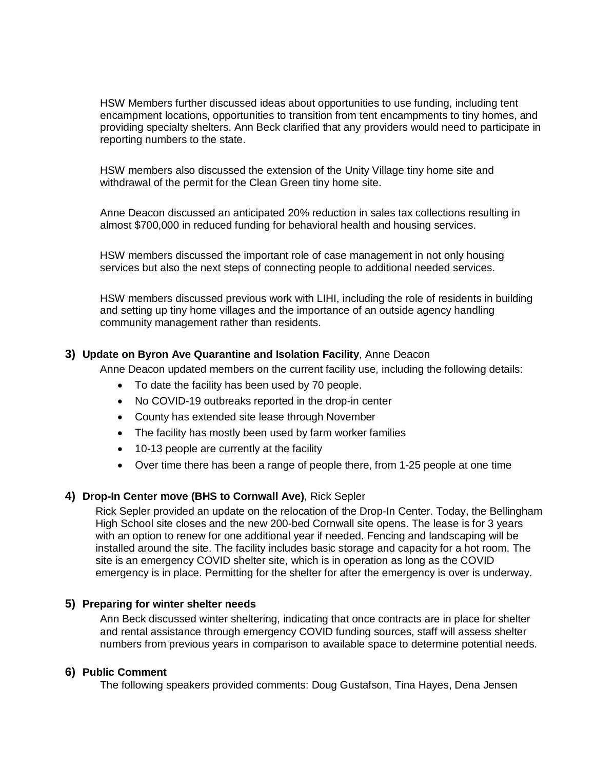HSW Members further discussed ideas about opportunities to use funding, including tent encampment locations, opportunities to transition from tent encampments to tiny homes, and providing specialty shelters. Ann Beck clarified that any providers would need to participate in reporting numbers to the state.

HSW members also discussed the extension of the Unity Village tiny home site and withdrawal of the permit for the Clean Green tiny home site.

Anne Deacon discussed an anticipated 20% reduction in sales tax collections resulting in almost \$700,000 in reduced funding for behavioral health and housing services.

HSW members discussed the important role of case management in not only housing services but also the next steps of connecting people to additional needed services.

HSW members discussed previous work with LIHI, including the role of residents in building and setting up tiny home villages and the importance of an outside agency handling community management rather than residents.

## **3) Update on Byron Ave Quarantine and Isolation Facility**, Anne Deacon

Anne Deacon updated members on the current facility use, including the following details:

- To date the facility has been used by 70 people.
- No COVID-19 outbreaks reported in the drop-in center
- County has extended site lease through November
- The facility has mostly been used by farm worker families
- 10-13 people are currently at the facility
- Over time there has been a range of people there, from 1-25 people at one time

### **4) Drop-In Center move (BHS to Cornwall Ave)**, Rick Sepler

Rick Sepler provided an update on the relocation of the Drop-In Center. Today, the Bellingham High School site closes and the new 200-bed Cornwall site opens. The lease is for 3 years with an option to renew for one additional year if needed. Fencing and landscaping will be installed around the site. The facility includes basic storage and capacity for a hot room. The site is an emergency COVID shelter site, which is in operation as long as the COVID emergency is in place. Permitting for the shelter for after the emergency is over is underway.

### **5) Preparing for winter shelter needs**

Ann Beck discussed winter sheltering, indicating that once contracts are in place for shelter and rental assistance through emergency COVID funding sources, staff will assess shelter numbers from previous years in comparison to available space to determine potential needs.

### **6) Public Comment**

The following speakers provided comments: Doug Gustafson, Tina Hayes, Dena Jensen